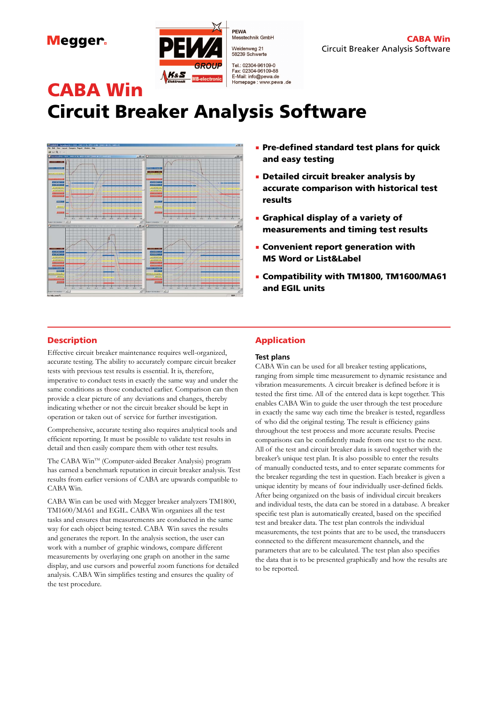Megger.



PEWA . .....<br>Messtechnik GmbH Weidenweg 21<br>58239 Schwerte Tel.: 02304-96109-0<br>Fax: 02304-96109-88 E-Mail: info@pewa.de<br>E-Mail: info@pewa.de<br>Homepage : www.pewa .de

# CABA Win Circuit Breaker Analysis Software



- **.** Pre-defined standard test plans for quick and easy testing
- **Detailed circuit breaker analysis by** accurate comparison with historical test results
- **E** Graphical display of a variety of measurements and timing test results
- **EX Convenient report generation with** MS Word or List&Label
- Compatibility with TM1800, TM1600/MA61 and EGIL units

### **Description**

Effective circuit breaker maintenance requires well-organized, accurate testing. The ability to accurately compare circuit breaker tests with previous test results is essential. It is, therefore, imperative to conduct tests in exactly the same way and under the same conditions as those conducted earlier. Comparison can then provide a clear picture of any deviations and changes, thereby indicating whether or not the circuit breaker should be kept in operation or taken out of service for further investigation.

Comprehensive, accurate testing also requires analytical tools and efficient reporting. It must be possible to validate test results in detail and then easily compare them with other test results.

The CABA Win™ (Computer-aided Breaker Analysis) program has earned a benchmark reputation in circuit breaker analysis. Test results from earlier versions of CABA are upwards compatible to CABA Win.

CABA Win can be used with Megger breaker analyzers TM1800, TM1600/MA61 and EGIL. CABA Win organizes all the test tasks and ensures that measurements are conducted in the same way for each object being tested. CABA Win saves the results and generates the report. In the analysis section, the user can work with a number of graphic windows, compare different measurements by overlaying one graph on another in the same display, and use cursors and powerful zoom functions for detailed analysis. CABA Win simplifies testing and ensures the quality of the test procedure.

## Application

### **Test plans**

CABA Win can be used for all breaker testing applications, ranging from simple time measurement to dynamic resistance and vibration measurements. A circuit breaker is defined before it is tested the first time. All of the entered data is kept together. This enables CABA Win to guide the user through the test procedure in exactly the same way each time the breaker is tested, regardless of who did the original testing. The result is efficiency gains throughout the test process and more accurate results. Precise comparisons can be confidently made from one test to the next. All of the test and circuit breaker data is saved together with the breaker's unique test plan. It is also possible to enter the results of manually conducted tests, and to enter separate comments for the breaker regarding the test in question. Each breaker is given a unique identity by means of four individually user-defined fields. After being organized on the basis of individual circuit breakers and individual tests, the data can be stored in a database. A breaker specific test plan is automatically created, based on the specified test and breaker data. The test plan controls the individual measurements, the test points that are to be used, the transducers connected to the different measurement channels, and the parameters that are to be calculated. The test plan also specifies the data that is to be presented graphically and how the results are to be reported.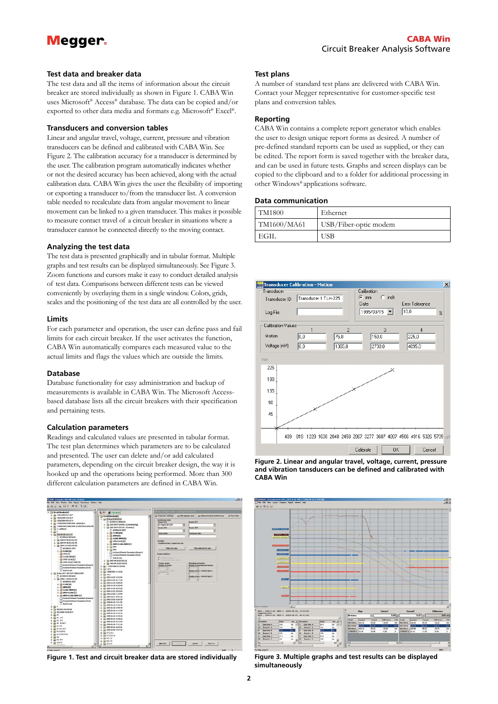# **Megger**

#### **Test data and breaker data**

The test data and all the items of information about the circuit breaker are stored individually as shown in Figure 1. CABA Win uses Microsoft® Access® database. The data can be copied and/or exported to other data media and formats e.g. Microsoft® Excel®.

#### **Transducers and conversion tables**

Linear and angular travel, voltage, current, pressure and vibration transducers can be defined and calibrated with CABA Win. See Figure 2. The calibration accuracy for a transducer is determined by the user. The calibration program automatically indicates whether or not the desired accuracy has been achieved, along with the actual calibration data. CABA Win gives the user the flexibility of importing or exporting a transducer to/from the transducer list. A conversion table needed to recalculate data from angular movement to linear movement can be linked to a given transducer. This makes it possible to measure contact travel of a circuit breaker in situations where a transducer cannot be connected directly to the moving contact.

#### **Analyzing the test data**

The test data is presented graphically and in tabular format. Multiple graphs and test results can be displayed simultaneously. See Figure 3. Zoom functions and cursors make it easy to conduct detailed analysis of test data. Comparisons between different tests can be viewed conveniently by overlaying them in a single window. Colors, grids, scales and the positioning of the test data are all controlled by the user.

#### **Limits**

For each parameter and operation, the user can define pass and fail limits for each circuit breaker. If the user activates the function, CABA Win automatically compares each measured value to the actual limits and flags the values which are outside the limits.

#### **Database**

Database functionality for easy administration and backup of measurements is available in CABA Win. The Microsoft Accessbased database lists all the circuit breakers with their specification and pertaining tests.

#### **Calculation parameters**

Readings and calculated values are presented in tabular format. The test plan determines which parameters are to be calculated and presented. The user can delete and/or add calculated parameters, depending on the circuit breaker design, the way it is hooked up and the operations being performed. More than 300 different calculation parameters are defined in CABA Win.



**Figure 1. Test and circuit breaker data are stored individually**

#### **Test plans**

A number of standard test plans are delivered with CABA Win. Contact your Megger representative for customer-specific test plans and conversion tables.

#### **Reporting**

CABA Win contains a complete report generator which enables the user to design unique report forms as desired. A number of pre-defined standard reports can be used as supplied, or they can be edited. The report form is saved together with the breaker data, and can be used in future tests. Graphs and screen displays can be copied to the clipboard and to a folder for additional processing in other Windows® applications software.

#### **Data communication**

| TM1800      | Ethernet              |
|-------------|-----------------------|
| TM1600/MA61 | USB/Fiber-optic modem |
| ' EGIL      | USB                   |



**Figure 2. Linear and angular travel, voltage, current, pressure and vibration tansducers can be defined and calibrated with CABA Win**



**Figure 3. Multiple graphs and test results can be displayed simultaneously**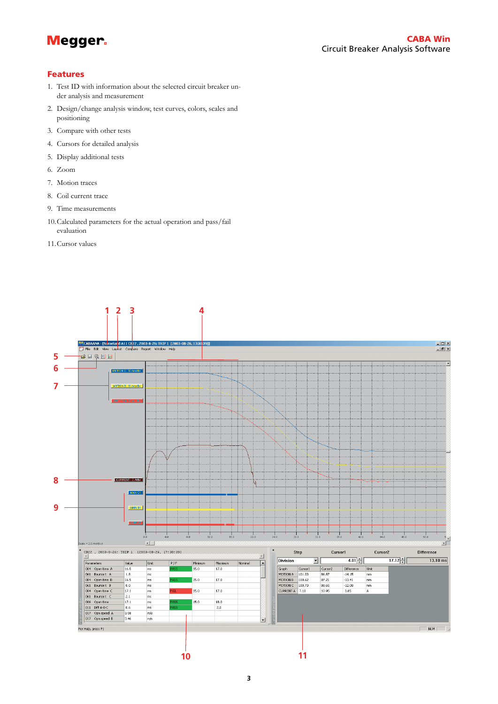

### Features

- 1. Test ID with information about the selected circuit breaker under analysis and measurement
- 2. Design/change analysis window, test curves, colors, scales and positioning
- 3. Compare with other tests
- 4. Cursors for detailed analysis
- 5. Display additional tests
- 6. Zoom
- 7. Motion traces
- 8. Coil current trace
- 9. Time measurements
- 10.Calculated parameters for the actual operation and pass/fail evaluation
- 11.Cursor values